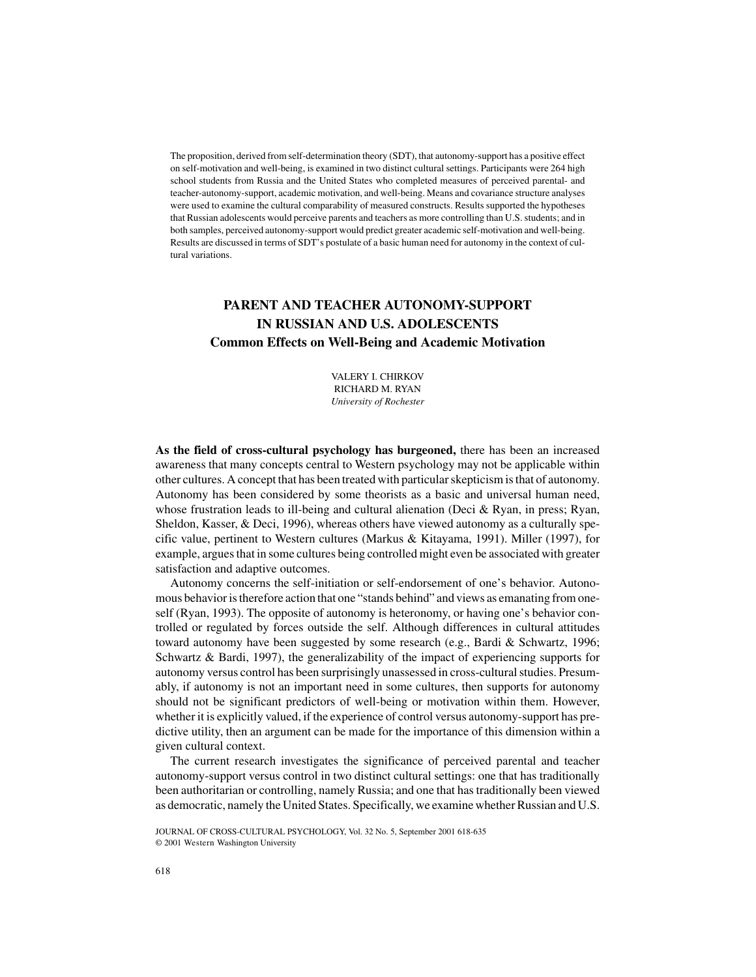The proposition, derived from self-determination theory (SDT), that autonomy-support has a positive effect on self-motivation and well-being, is examined in two distinct cultural settings. Participants were 264 high school students from Russia and the United States who completed measures of perceived parental- and teacher-autonomy-support, academic motivation, and well-being. Means and covariance structure analyses were used to examine the cultural comparability of measured constructs. Results supported the hypotheses that Russian adolescents would perceive parents and teachers as more controlling than U.S. students; and in both samples, perceived autonomy-support would predict greater academic self-motivation and well-being. Results are discussed in terms of SDT's postulate of a basic human need for autonomy in the context of cultural variations.

# **PARENT AND TEACHER AUTONOMY-SUPPORT IN RUSSIAN AND U.S. ADOLESCENTS Common Effects on Well-Being and Academic Motivation**

VALERY I. CHIRKOV RICHARD M. RYAN *University of Rochester*

**As the field of cross-cultural psychology has burgeoned,** there has been an increased awareness that many concepts central to Western psychology may not be applicable within other cultures. A concept that has been treated with particular skepticism is that of autonomy. Autonomy has been considered by some theorists as a basic and universal human need, whose frustration leads to ill-being and cultural alienation (Deci & Ryan, in press; Ryan, Sheldon, Kasser, & Deci, 1996), whereas others have viewed autonomy as a culturally specific value, pertinent to Western cultures (Markus & Kitayama, 1991). Miller (1997), for example, argues that in some cultures being controlled might even be associated with greater satisfaction and adaptive outcomes.

Autonomy concerns the self-initiation or self-endorsement of one's behavior. Autonomous behavior is therefore action that one "stands behind" and views as emanating from oneself (Ryan, 1993). The opposite of autonomy is heteronomy, or having one's behavior controlled or regulated by forces outside the self. Although differences in cultural attitudes toward autonomy have been suggested by some research (e.g., Bardi & Schwartz, 1996; Schwartz & Bardi, 1997), the generalizability of the impact of experiencing supports for autonomy versus control has been surprisingly unassessed in cross-cultural studies. Presumably, if autonomy is not an important need in some cultures, then supports for autonomy should not be significant predictors of well-being or motivation within them. However, whether it is explicitly valued, if the experience of control versus autonomy-support has predictive utility, then an argument can be made for the importance of this dimension within a given cultural context.

The current research investigates the significance of perceived parental and teacher autonomy-support versus control in two distinct cultural settings: one that has traditionally been authoritarian or controlling, namely Russia; and one that has traditionally been viewed as democratic, namely the United States. Specifically, we examine whether Russian and U.S.

JOURNAL OF CROSS-CULTURAL PSYCHOLOGY, Vol. 32 No. 5, September 2001 618-635 © 2001 Western Washington University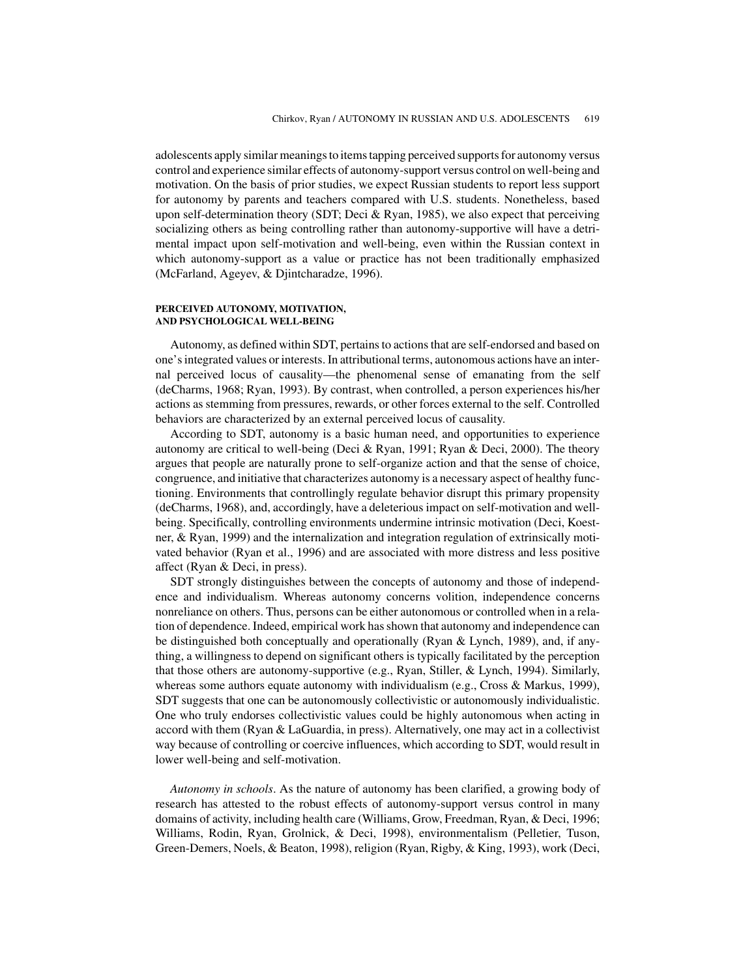adolescents apply similar meanings to items tapping perceived supports for autonomy versus control and experience similar effects of autonomy-support versus control on well-being and motivation. On the basis of prior studies, we expect Russian students to report less support for autonomy by parents and teachers compared with U.S. students. Nonetheless, based upon self-determination theory (SDT; Deci & Ryan, 1985), we also expect that perceiving socializing others as being controlling rather than autonomy-supportive will have a detrimental impact upon self-motivation and well-being, even within the Russian context in which autonomy-support as a value or practice has not been traditionally emphasized (McFarland, Ageyev, & Djintcharadze, 1996).

### **PERCEIVED AUTONOMY, MOTIVATION, AND PSYCHOLOGICAL WELL-BEING**

Autonomy, as defined within SDT, pertains to actions that are self-endorsed and based on one's integrated values or interests. In attributional terms, autonomous actions have an internal perceived locus of causality—the phenomenal sense of emanating from the self (deCharms, 1968; Ryan, 1993). By contrast, when controlled, a person experiences his/her actions as stemming from pressures, rewards, or other forces external to the self. Controlled behaviors are characterized by an external perceived locus of causality.

According to SDT, autonomy is a basic human need, and opportunities to experience autonomy are critical to well-being (Deci & Ryan, 1991; Ryan & Deci, 2000). The theory argues that people are naturally prone to self-organize action and that the sense of choice, congruence, and initiative that characterizes autonomy is a necessary aspect of healthy functioning. Environments that controllingly regulate behavior disrupt this primary propensity (deCharms, 1968), and, accordingly, have a deleterious impact on self-motivation and wellbeing. Specifically, controlling environments undermine intrinsic motivation (Deci, Koestner, & Ryan, 1999) and the internalization and integration regulation of extrinsically motivated behavior (Ryan et al., 1996) and are associated with more distress and less positive affect (Ryan & Deci, in press).

SDT strongly distinguishes between the concepts of autonomy and those of independence and individualism. Whereas autonomy concerns volition, independence concerns nonreliance on others. Thus, persons can be either autonomous or controlled when in a relation of dependence. Indeed, empirical work has shown that autonomy and independence can be distinguished both conceptually and operationally (Ryan & Lynch, 1989), and, if anything, a willingness to depend on significant others is typically facilitated by the perception that those others are autonomy-supportive (e.g., Ryan, Stiller, & Lynch, 1994). Similarly, whereas some authors equate autonomy with individualism (e.g., Cross & Markus, 1999), SDT suggests that one can be autonomously collectivistic or autonomously individualistic. One who truly endorses collectivistic values could be highly autonomous when acting in accord with them (Ryan & LaGuardia, in press). Alternatively, one may act in a collectivist way because of controlling or coercive influences, which according to SDT, would result in lower well-being and self-motivation.

*Autonomy in schools*. As the nature of autonomy has been clarified, a growing body of research has attested to the robust effects of autonomy-support versus control in many domains of activity, including health care (Williams, Grow, Freedman, Ryan, & Deci, 1996; Williams, Rodin, Ryan, Grolnick, & Deci, 1998), environmentalism (Pelletier, Tuson, Green-Demers, Noels, & Beaton, 1998), religion (Ryan, Rigby, & King, 1993), work (Deci,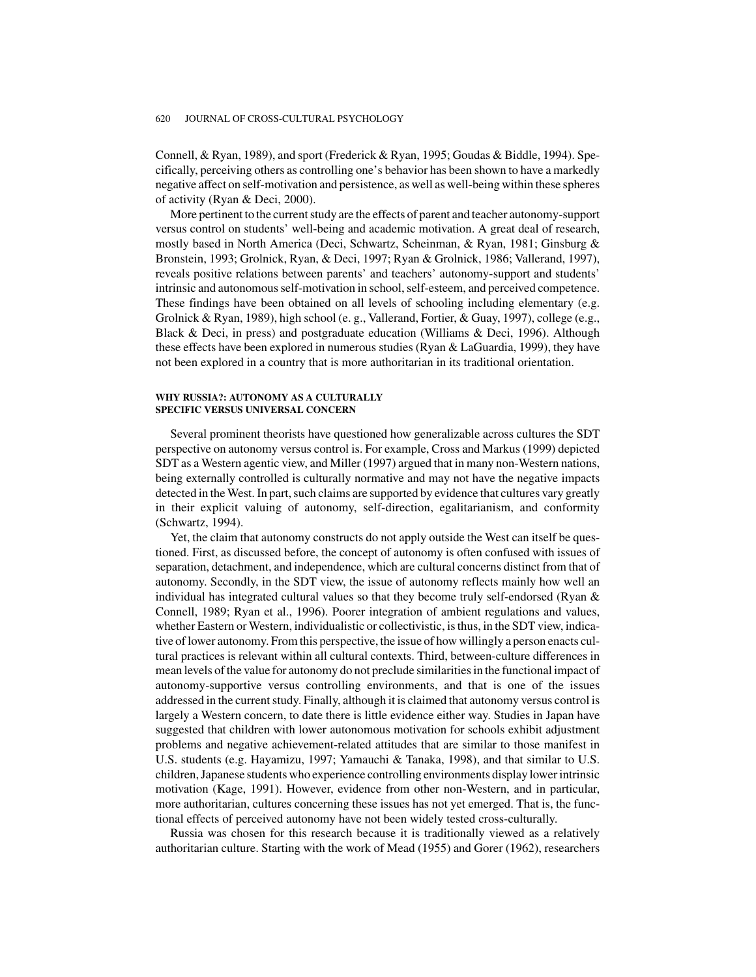Connell, & Ryan, 1989), and sport (Frederick & Ryan, 1995; Goudas & Biddle, 1994). Specifically, perceiving others as controlling one's behavior has been shown to have a markedly negative affect on self-motivation and persistence, as well as well-being within these spheres of activity (Ryan & Deci, 2000).

More pertinent to the current study are the effects of parent and teacher autonomy-support versus control on students' well-being and academic motivation. A great deal of research, mostly based in North America (Deci, Schwartz, Scheinman, & Ryan, 1981; Ginsburg & Bronstein, 1993; Grolnick, Ryan, & Deci, 1997; Ryan & Grolnick, 1986; Vallerand, 1997), reveals positive relations between parents' and teachers' autonomy-support and students' intrinsic and autonomous self-motivation in school, self-esteem, and perceived competence. These findings have been obtained on all levels of schooling including elementary (e.g. Grolnick & Ryan, 1989), high school (e. g., Vallerand, Fortier, & Guay, 1997), college (e.g., Black & Deci, in press) and postgraduate education (Williams & Deci, 1996). Although these effects have been explored in numerous studies (Ryan & LaGuardia, 1999), they have not been explored in a country that is more authoritarian in its traditional orientation.

### **WHY RUSSIA?: AUTONOMY AS A CULTURALLY SPECIFIC VERSUS UNIVERSAL CONCERN**

Several prominent theorists have questioned how generalizable across cultures the SDT perspective on autonomy versus control is. For example, Cross and Markus (1999) depicted SDT as a Western agentic view, and Miller (1997) argued that in many non-Western nations, being externally controlled is culturally normative and may not have the negative impacts detected in the West. In part, such claims are supported by evidence that cultures vary greatly in their explicit valuing of autonomy, self-direction, egalitarianism, and conformity (Schwartz, 1994).

Yet, the claim that autonomy constructs do not apply outside the West can itself be questioned. First, as discussed before, the concept of autonomy is often confused with issues of separation, detachment, and independence, which are cultural concerns distinct from that of autonomy. Secondly, in the SDT view, the issue of autonomy reflects mainly how well an individual has integrated cultural values so that they become truly self-endorsed (Ryan  $\&$ Connell, 1989; Ryan et al., 1996). Poorer integration of ambient regulations and values, whether Eastern or Western, individualistic or collectivistic, is thus, in the SDT view, indicative of lower autonomy. From this perspective, the issue of how willingly a person enacts cultural practices is relevant within all cultural contexts. Third, between-culture differences in mean levels of the value for autonomy do not preclude similarities in the functional impact of autonomy-supportive versus controlling environments, and that is one of the issues addressed in the current study. Finally, although it is claimed that autonomy versus control is largely a Western concern, to date there is little evidence either way. Studies in Japan have suggested that children with lower autonomous motivation for schools exhibit adjustment problems and negative achievement-related attitudes that are similar to those manifest in U.S. students (e.g. Hayamizu, 1997; Yamauchi & Tanaka, 1998), and that similar to U.S. children, Japanese students who experience controlling environments display lower intrinsic motivation (Kage, 1991). However, evidence from other non-Western, and in particular, more authoritarian, cultures concerning these issues has not yet emerged. That is, the functional effects of perceived autonomy have not been widely tested cross-culturally.

Russia was chosen for this research because it is traditionally viewed as a relatively authoritarian culture. Starting with the work of Mead (1955) and Gorer (1962), researchers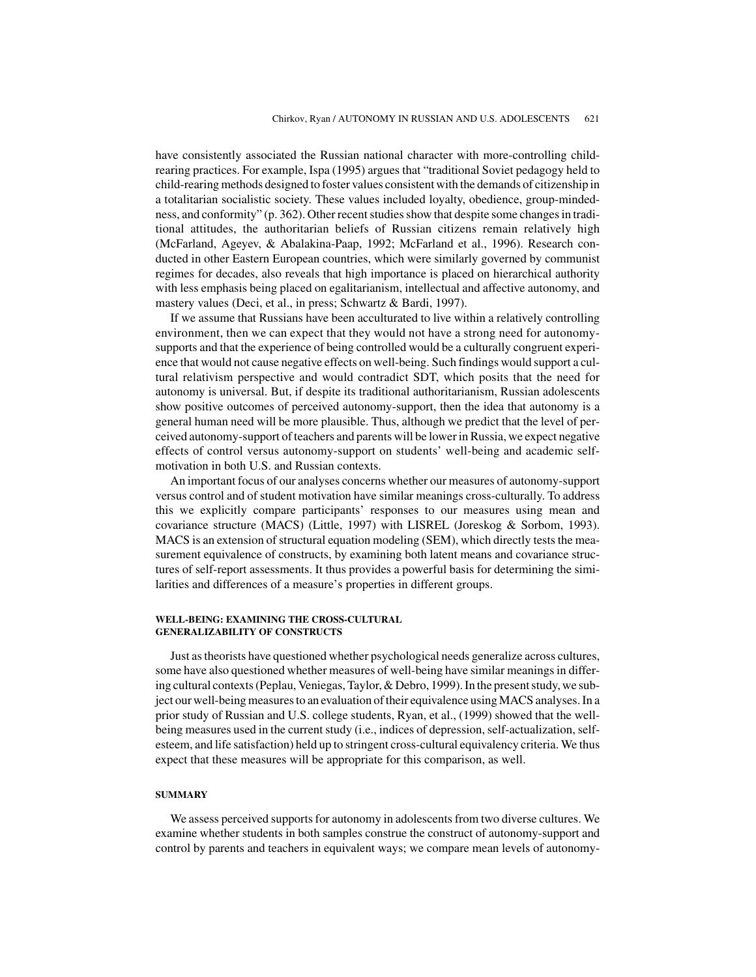have consistently associated the Russian national character with more-controlling childrearing practices. For example, Ispa (1995) argues that "traditional Soviet pedagogy held to child-rearing methods designed to foster values consistent with the demands of citizenship in a totalitarian socialistic society. These values included loyalty, obedience, group-mindedness, and conformity" (p. 362). Other recent studies show that despite some changes in traditional attitudes, the authoritarian beliefs of Russian citizens remain relatively high (McFarland, Ageyev, & Abalakina-Paap, 1992; McFarland et al., 1996). Research conducted in other Eastern European countries, which were similarly governed by communist regimes for decades, also reveals that high importance is placed on hierarchical authority with less emphasis being placed on egalitarianism, intellectual and affective autonomy, and mastery values (Deci, et al., in press; Schwartz & Bardi, 1997).

If we assume that Russians have been acculturated to live within a relatively controlling environment, then we can expect that they would not have a strong need for autonomysupports and that the experience of being controlled would be a culturally congruent experience that would not cause negative effects on well-being. Such findings would support a cultural relativism perspective and would contradict SDT, which posits that the need for autonomy is universal. But, if despite its traditional authoritarianism, Russian adolescents show positive outcomes of perceived autonomy-support, then the idea that autonomy is a general human need will be more plausible. Thus, although we predict that the level of perceived autonomy-support of teachers and parents will be lower in Russia, we expect negative effects of control versus autonomy-support on students' well-being and academic selfmotivation in both U.S. and Russian contexts.

An important focus of our analyses concerns whether our measures of autonomy-support versus control and of student motivation have similar meanings cross-culturally. To address this we explicitly compare participants' responses to our measures using mean and covariance structure (MACS) (Little, 1997) with LISREL (Joreskog & Sorbom, 1993). MACS is an extension of structural equation modeling (SEM), which directly tests the measurement equivalence of constructs, by examining both latent means and covariance structures of self-report assessments. It thus provides a powerful basis for determining the similarities and differences of a measure's properties in different groups.

### **WELL-BEING: EXAMINING THE CROSS-CULTURAL GENERALIZABILITY OF CONSTRUCTS**

Just as theorists have questioned whether psychological needs generalize across cultures, some have also questioned whether measures of well-being have similar meanings in differing cultural contexts (Peplau, Veniegas, Taylor, & Debro, 1999). In the present study, we subject our well-being measures to an evaluation of their equivalence using MACS analyses. In a prior study of Russian and U.S. college students, Ryan, et al., (1999) showed that the wellbeing measures used in the current study (i.e., indices of depression, self-actualization, selfesteem, and life satisfaction) held up to stringent cross-cultural equivalency criteria. We thus expect that these measures will be appropriate for this comparison, as well.

### **SUMMARY**

We assess perceived supports for autonomy in adolescents from two diverse cultures. We examine whether students in both samples construe the construct of autonomy-support and control by parents and teachers in equivalent ways; we compare mean levels of autonomy-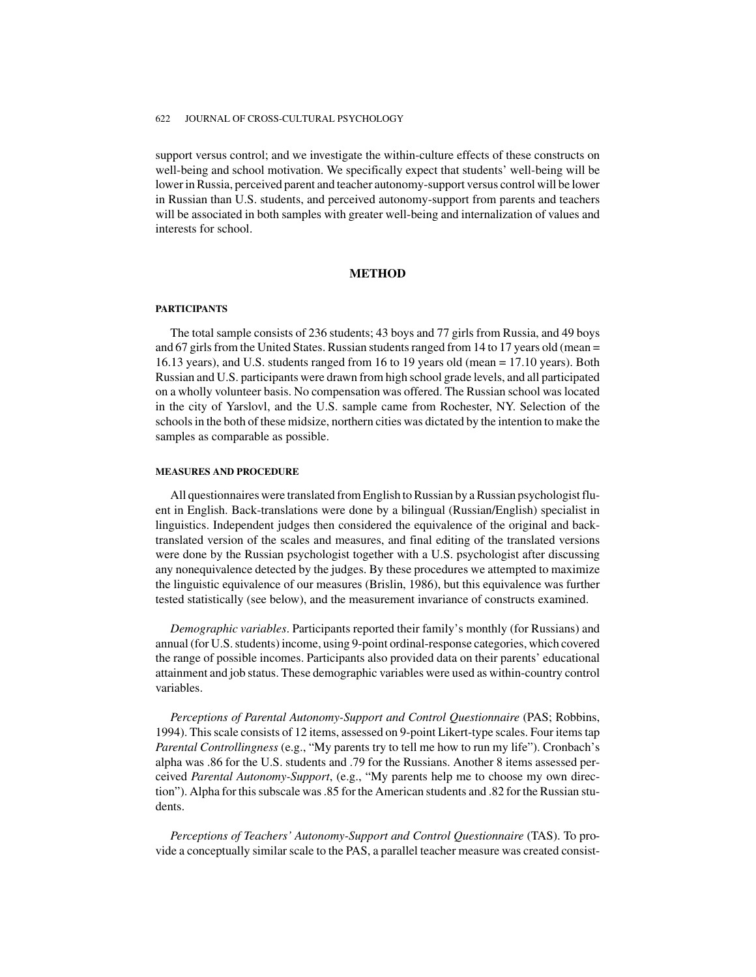support versus control; and we investigate the within-culture effects of these constructs on well-being and school motivation. We specifically expect that students' well-being will be lower in Russia, perceived parent and teacher autonomy-support versus control will be lower in Russian than U.S. students, and perceived autonomy-support from parents and teachers will be associated in both samples with greater well-being and internalization of values and interests for school.

### **METHOD**

#### **PARTICIPANTS**

The total sample consists of 236 students; 43 boys and 77 girls from Russia, and 49 boys and 67 girls from the United States. Russian students ranged from 14 to 17 years old (mean = 16.13 years), and U.S. students ranged from 16 to 19 years old (mean = 17.10 years). Both Russian and U.S. participants were drawn from high school grade levels, and all participated on a wholly volunteer basis. No compensation was offered. The Russian school was located in the city of Yarslovl, and the U.S. sample came from Rochester, NY. Selection of the schools in the both of these midsize, northern cities was dictated by the intention to make the samples as comparable as possible.

#### **MEASURES AND PROCEDURE**

All questionnaires were translated from English to Russian by a Russian psychologist fluent in English. Back-translations were done by a bilingual (Russian/English) specialist in linguistics. Independent judges then considered the equivalence of the original and backtranslated version of the scales and measures, and final editing of the translated versions were done by the Russian psychologist together with a U.S. psychologist after discussing any nonequivalence detected by the judges. By these procedures we attempted to maximize the linguistic equivalence of our measures (Brislin, 1986), but this equivalence was further tested statistically (see below), and the measurement invariance of constructs examined.

*Demographic variables*. Participants reported their family's monthly (for Russians) and annual (for U.S. students) income, using 9-point ordinal-response categories, which covered the range of possible incomes. Participants also provided data on their parents' educational attainment and job status. These demographic variables were used as within-country control variables.

*Perceptions of Parental Autonomy-Support and Control Questionnaire* (PAS; Robbins, 1994). This scale consists of 12 items, assessed on 9-point Likert-type scales. Four items tap *Parental Controllingness* (e.g., "My parents try to tell me how to run my life"). Cronbach's alpha was .86 for the U.S. students and .79 for the Russians. Another 8 items assessed perceived *Parental Autonomy-Support*, (e.g., "My parents help me to choose my own direction"). Alpha for this subscale was .85 for the American students and .82 for the Russian students.

*Perceptions of Teachers' Autonomy-Support and Control Questionnaire* (TAS). To provide a conceptually similar scale to the PAS, a parallel teacher measure was created consist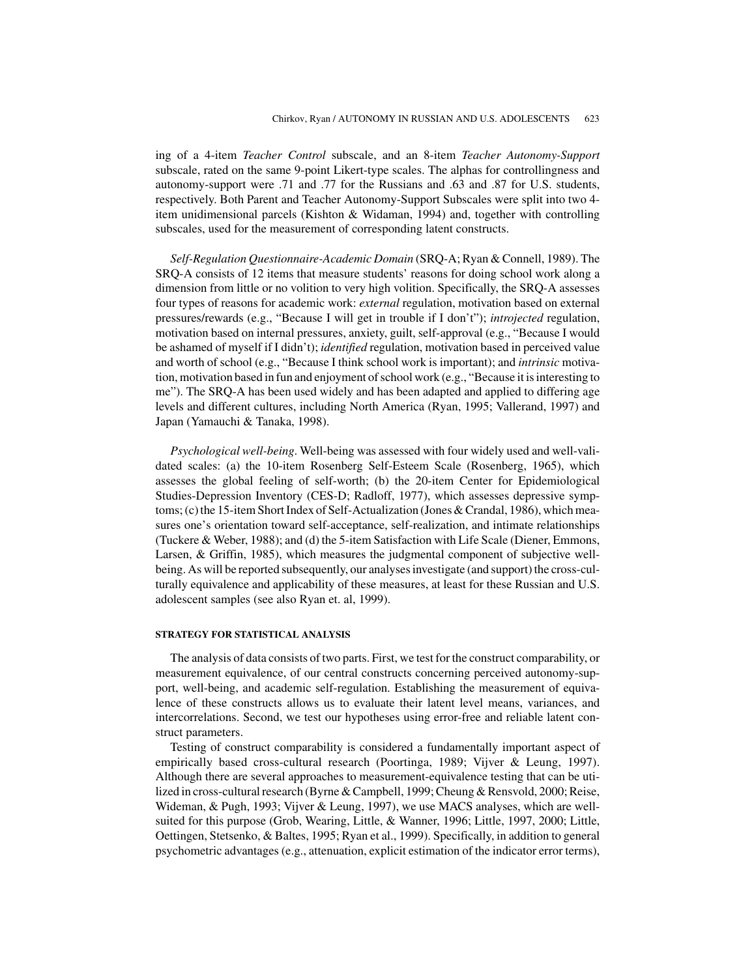ing of a 4-item *Teacher Control* subscale, and an 8-item *Teacher Autonomy-Support* subscale, rated on the same 9-point Likert-type scales. The alphas for controllingness and autonomy-support were .71 and .77 for the Russians and .63 and .87 for U.S. students, respectively. Both Parent and Teacher Autonomy-Support Subscales were split into two 4 item unidimensional parcels (Kishton & Widaman, 1994) and, together with controlling subscales, used for the measurement of corresponding latent constructs.

*Self-Regulation Questionnaire-Academic Domain* (SRQ-A; Ryan & Connell, 1989). The SRQ-A consists of 12 items that measure students' reasons for doing school work along a dimension from little or no volition to very high volition. Specifically, the SRQ-A assesses four types of reasons for academic work: *external* regulation, motivation based on external pressures/rewards (e.g., "Because I will get in trouble if I don't"); *introjected* regulation, motivation based on internal pressures, anxiety, guilt, self-approval (e.g., "Because I would be ashamed of myself if I didn't); *identified* regulation, motivation based in perceived value and worth of school (e.g., "Because I think school work is important); and *intrinsic* motivation, motivation based in fun and enjoyment of school work (e.g., "Because it is interesting to me"). The SRQ-A has been used widely and has been adapted and applied to differing age levels and different cultures, including North America (Ryan, 1995; Vallerand, 1997) and Japan (Yamauchi & Tanaka, 1998).

*Psychological well-being*. Well-being was assessed with four widely used and well-validated scales: (a) the 10-item Rosenberg Self-Esteem Scale (Rosenberg, 1965), which assesses the global feeling of self-worth; (b) the 20-item Center for Epidemiological Studies-Depression Inventory (CES-D; Radloff, 1977), which assesses depressive symptoms; (c) the 15-item Short Index of Self-Actualization (Jones & Crandal, 1986), which measures one's orientation toward self-acceptance, self-realization, and intimate relationships (Tuckere & Weber, 1988); and (d) the 5-item Satisfaction with Life Scale (Diener, Emmons, Larsen, & Griffin, 1985), which measures the judgmental component of subjective wellbeing. As will be reported subsequently, our analyses investigate (and support) the cross-culturally equivalence and applicability of these measures, at least for these Russian and U.S. adolescent samples (see also Ryan et. al, 1999).

#### **STRATEGY FOR STATISTICAL ANALYSIS**

The analysis of data consists of two parts. First, we test for the construct comparability, or measurement equivalence, of our central constructs concerning perceived autonomy-support, well-being, and academic self-regulation. Establishing the measurement of equivalence of these constructs allows us to evaluate their latent level means, variances, and intercorrelations. Second, we test our hypotheses using error-free and reliable latent construct parameters.

Testing of construct comparability is considered a fundamentally important aspect of empirically based cross-cultural research (Poortinga, 1989; Vijver & Leung, 1997). Although there are several approaches to measurement-equivalence testing that can be utilized in cross-cultural research (Byrne & Campbell, 1999; Cheung & Rensvold, 2000; Reise, Wideman, & Pugh, 1993; Vijver & Leung, 1997), we use MACS analyses, which are wellsuited for this purpose (Grob, Wearing, Little, & Wanner, 1996; Little, 1997, 2000; Little, Oettingen, Stetsenko, & Baltes, 1995; Ryan et al., 1999). Specifically, in addition to general psychometric advantages (e.g., attenuation, explicit estimation of the indicator error terms),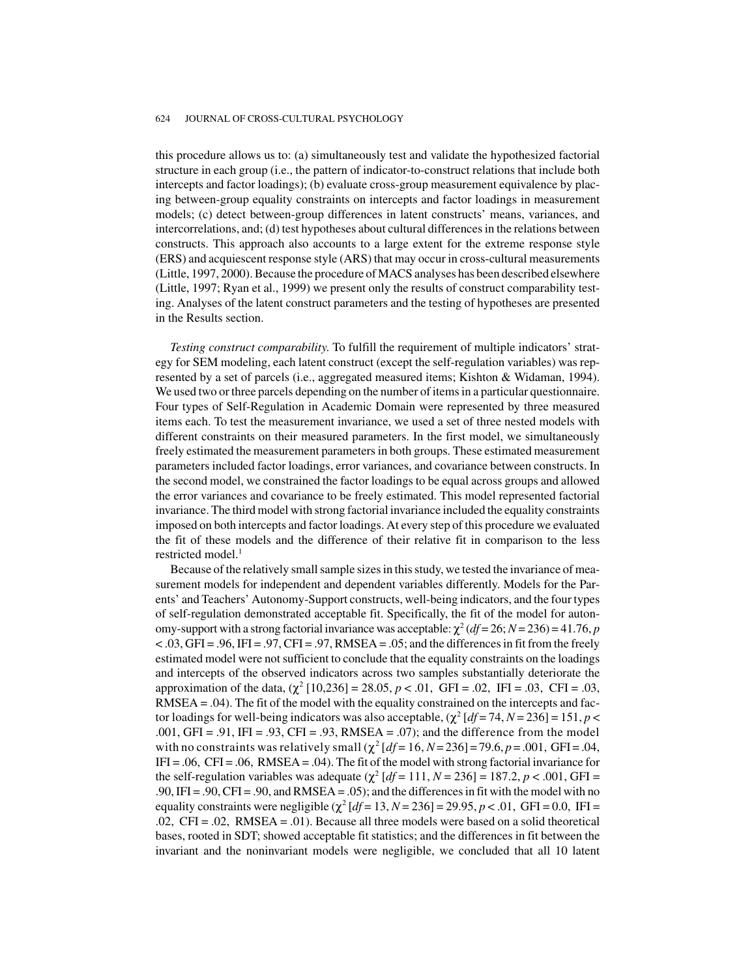this procedure allows us to: (a) simultaneously test and validate the hypothesized factorial structure in each group (i.e., the pattern of indicator-to-construct relations that include both intercepts and factor loadings); (b) evaluate cross-group measurement equivalence by placing between-group equality constraints on intercepts and factor loadings in measurement models; (c) detect between-group differences in latent constructs' means, variances, and intercorrelations, and; (d) test hypotheses about cultural differences in the relations between constructs. This approach also accounts to a large extent for the extreme response style (ERS) and acquiescent response style (ARS) that may occur in cross-cultural measurements (Little, 1997, 2000). Because the procedure of MACS analyses has been described elsewhere (Little, 1997; Ryan et al., 1999) we present only the results of construct comparability testing. Analyses of the latent construct parameters and the testing of hypotheses are presented in the Results section.

*Testing construct comparability*. To fulfill the requirement of multiple indicators' strategy for SEM modeling, each latent construct (except the self-regulation variables) was represented by a set of parcels (i.e., aggregated measured items; Kishton & Widaman, 1994). We used two or three parcels depending on the number of items in a particular questionnaire. Four types of Self-Regulation in Academic Domain were represented by three measured items each. To test the measurement invariance, we used a set of three nested models with different constraints on their measured parameters. In the first model, we simultaneously freely estimated the measurement parameters in both groups. These estimated measurement parameters included factor loadings, error variances, and covariance between constructs. In the second model, we constrained the factor loadings to be equal across groups and allowed the error variances and covariance to be freely estimated. This model represented factorial invariance. The third model with strong factorial invariance included the equality constraints imposed on both intercepts and factor loadings. At every step of this procedure we evaluated the fit of these models and the difference of their relative fit in comparison to the less restricted model.<sup>1</sup>

Because of the relatively small sample sizes in this study, we tested the invariance of measurement models for independent and dependent variables differently. Models for the Parents' and Teachers' Autonomy-Support constructs, well-being indicators, and the four types of self-regulation demonstrated acceptable fit. Specifically, the fit of the model for autonomy-support with a strong factorial invariance was acceptable:  $\chi^2 (df = 26; N = 236) = 41.76, p$  $<$ .03, GFI = .96, IFI = .97, CFI = .97, RMSEA = .05; and the differences in fit from the freely estimated model were not sufficient to conclude that the equality constraints on the loadings and intercepts of the observed indicators across two samples substantially deteriorate the approximation of the data,  $(\chi^2 [10, 236] = 28.05, p < .01, \text{ GFI} = .02, \text{ IFI} = .03, \text{ CFI} = .03,$ RMSEA = .04). The fit of the model with the equality constrained on the intercepts and factor loadings for well-being indicators was also acceptable,  $(\chi^2 \left[ df = 74, N = 236 \right] = 151, p <$ .001, GFI = .91, IFI = .93, CFI = .93, RMSEA = .07); and the difference from the model with no constraints was relatively small  $(\chi^2 \left[ df = 16, N = 236 \right] = 79.6, p = .001, \text{ GFI} = .04,$  $IFI = .06$ ,  $CFI = .06$ ,  $RMSEA = .04$ ). The fit of the model with strong factorial invariance for the self-regulation variables was adequate  $(\chi^2 \left[ df = 111, N = 236 \right] = 187.2, p < .001, \text{GFI} =$ .90, IFI = .90, CFI = .90, and RMSEA = .05); and the differences in fit with the model with no equality constraints were negligible  $(\chi^2 [df = 13, N = 236] = 29.95, p < .01, \text{ GFI} = 0.0, \text{ IFI} = 0.0)$ .02, CFI = .02, RMSEA = .01). Because all three models were based on a solid theoretical bases, rooted in SDT; showed acceptable fit statistics; and the differences in fit between the invariant and the noninvariant models were negligible, we concluded that all 10 latent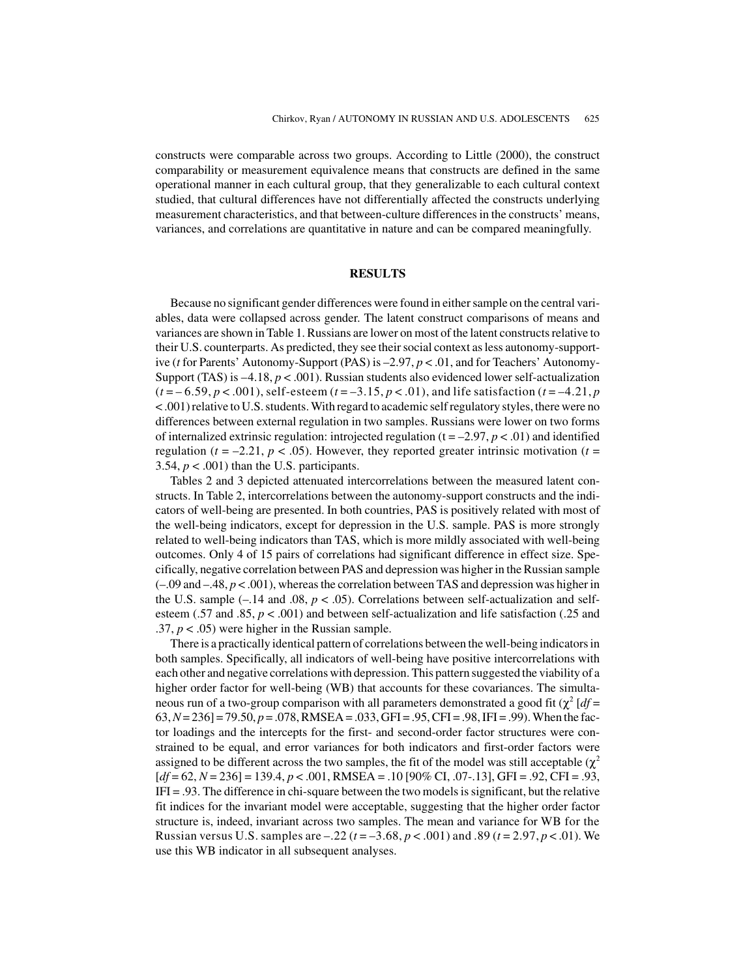constructs were comparable across two groups. According to Little (2000), the construct comparability or measurement equivalence means that constructs are defined in the same operational manner in each cultural group, that they generalizable to each cultural context studied, that cultural differences have not differentially affected the constructs underlying measurement characteristics, and that between-culture differences in the constructs' means, variances, and correlations are quantitative in nature and can be compared meaningfully.

### **RESULTS**

Because no significant gender differences were found in either sample on the central variables, data were collapsed across gender. The latent construct comparisons of means and variances are shown in Table 1. Russians are lower on most of the latent constructs relative to their U.S. counterparts. As predicted, they see their social context as less autonomy-supportive (*t* for Parents' Autonomy-Support (PAS) is –2.97, *p* < .01, and for Teachers' Autonomy-Support (TAS) is  $-4.18$ ,  $p < .001$ ). Russian students also evidenced lower self-actualization  $(t = -6.59, p < .001)$ , self-esteem  $(t = -3.15, p < .01)$ , and life satisfaction  $(t = -4.21, p$ < .001) relative to U.S. students. With regard to academic self regulatory styles, there were no differences between external regulation in two samples. Russians were lower on two forms of internalized extrinsic regulation: introjected regulation  $(t = -2.97, p < .01)$  and identified regulation ( $t = -2.21$ ,  $p < .05$ ). However, they reported greater intrinsic motivation ( $t =$ 3.54,  $p < .001$ ) than the U.S. participants.

Tables 2 and 3 depicted attenuated intercorrelations between the measured latent constructs. In Table 2, intercorrelations between the autonomy-support constructs and the indicators of well-being are presented. In both countries, PAS is positively related with most of the well-being indicators, except for depression in the U.S. sample. PAS is more strongly related to well-being indicators than TAS, which is more mildly associated with well-being outcomes. Only 4 of 15 pairs of correlations had significant difference in effect size. Specifically, negative correlation between PAS and depression was higher in the Russian sample  $(-.09$  and  $-.48, p < .001$ ), whereas the correlation between TAS and depression was higher in the U.S. sample  $(-.14$  and  $.08, p < .05)$ . Correlations between self-actualization and selfesteem (.57 and .85, *p* < .001) and between self-actualization and life satisfaction (.25 and .37,  $p < .05$ ) were higher in the Russian sample.

There is a practically identical pattern of correlations between the well-being indicators in both samples. Specifically, all indicators of well-being have positive intercorrelations with each other and negative correlations with depression. This pattern suggested the viability of a higher order factor for well-being (WB) that accounts for these covariances. The simultaneous run of a two-group comparison with all parameters demonstrated a good fit ( $\chi^2$  [*df* = 63,*N*= 236] = 79.50, *p* = .078, RMSEA = .033, GFI = .95, CFI = .98, IFI = .99). When the factor loadings and the intercepts for the first- and second-order factor structures were constrained to be equal, and error variances for both indicators and first-order factors were assigned to be different across the two samples, the fit of the model was still acceptable ( $\chi^2$ ) [*df* = 62, *N* = 236] = 139.4, *p* < .001, RMSEA = .10 [90% CI, .07-.13], GFI = .92, CFI = .93, IFI = .93. The difference in chi-square between the two models is significant, but the relative fit indices for the invariant model were acceptable, suggesting that the higher order factor structure is, indeed, invariant across two samples. The mean and variance for WB for the Russian versus U.S. samples are –.22 (*t* = –3.68, *p* < .001) and .89 (*t* = 2.97, *p* < .01). We use this WB indicator in all subsequent analyses.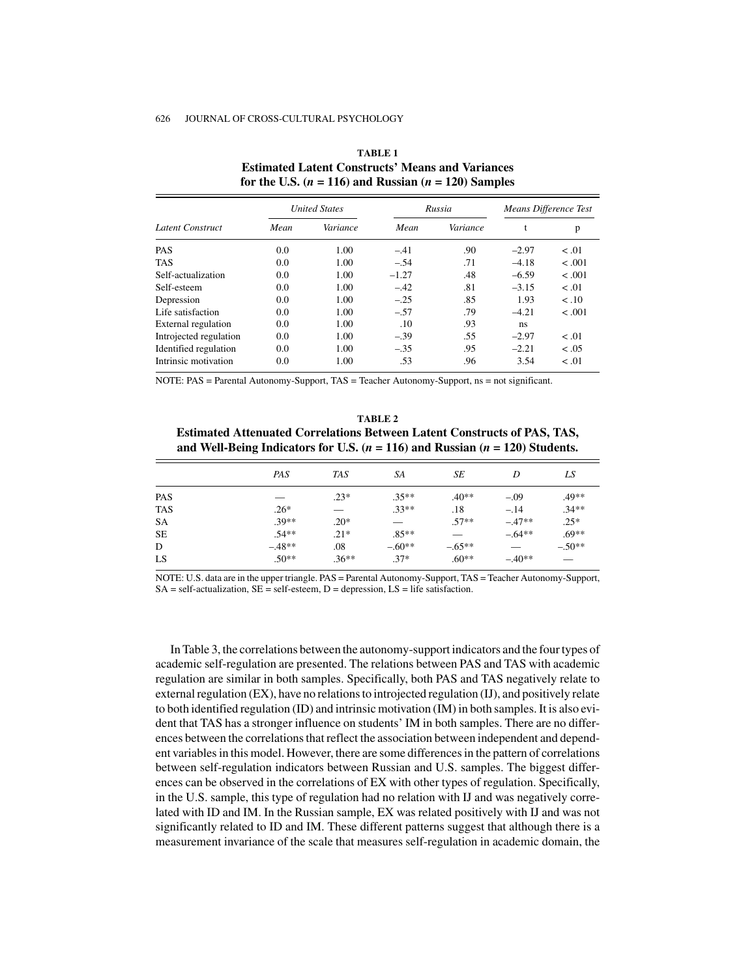|                        |      | <b>United States</b> |         | Russia   | <b>Means Difference Test</b> |         |  |
|------------------------|------|----------------------|---------|----------|------------------------------|---------|--|
| Latent Construct       | Mean | Variance             | Mean    | Variance | t                            | p       |  |
| <b>PAS</b>             | 0.0  | 1.00                 | $-.41$  | .90      | $-2.97$                      | < .01   |  |
| <b>TAS</b>             | 0.0  | 1.00                 | $-.54$  | .71      | $-4.18$                      | < .001  |  |
| Self-actualization     | 0.0  | 1.00                 | $-1.27$ | .48      | $-6.59$                      | < .001  |  |
| Self-esteem            | 0.0  | 1.00                 | $-.42$  | .81      | $-3.15$                      | < .01   |  |
| Depression             | 0.0  | 1.00                 | $-.25$  | .85      | 1.93                         | < .10   |  |
| Life satisfaction      | 0.0  | 1.00                 | $-.57$  | .79      | $-4.21$                      | $-.001$ |  |
| External regulation    | 0.0  | 1.00                 | .10     | .93      | ns                           |         |  |
| Introjected regulation | 0.0  | 1.00                 | $-.39$  | .55      | $-2.97$                      | < .01   |  |
| Identified regulation  | 0.0  | 1.00                 | $-.35$  | .95      | $-2.21$                      | < .05   |  |
| Intrinsic motivation   | 0.0  | 1.00                 | .53     | .96      | 3.54                         | < .01   |  |

# **TABLE 1 Estimated Latent Constructs' Means and Variances** for the U.S.  $(n = 116)$  and Russian  $(n = 120)$  Samples

NOTE: PAS = Parental Autonomy-Support, TAS = Teacher Autonomy-Support, ns = not significant.

**TABLE 2 Estimated Attenuated Correlations Between Latent Constructs of PAS, TAS,** and Well-Being Indicators for U.S.  $(n = 116)$  and Russian  $(n = 120)$  Students.

|            | PAS      | <b>TAS</b> | SA       | SE       | D        | LS       |
|------------|----------|------------|----------|----------|----------|----------|
| <b>PAS</b> |          | $.23*$     | $.35**$  | $.40**$  | $-.09$   | $.49**$  |
| <b>TAS</b> | $.26*$   |            | $.33**$  | .18      | $-.14$   | $.34**$  |
| <b>SA</b>  | $.39**$  | $.20*$     |          | $.57**$  | $-.47**$ | $.25*$   |
| <b>SE</b>  | $.54**$  | $.21*$     | $.85**$  |          | $-64**$  | $.69**$  |
| D          | $-.48**$ | .08        | $-.60**$ | $-.65**$ |          | $-.50**$ |
| LS         | $.50**$  | $.36**$    | $.37*$   | $.60**$  | $-.40**$ | –        |

NOTE: U.S. data are in the upper triangle. PAS = Parental Autonomy-Support, TAS = Teacher Autonomy-Support,  $SA = self-actualization, SE = self-esteem, D = depression, LS = life satisfaction.$ 

In Table 3, the correlations between the autonomy-support indicators and the four types of academic self-regulation are presented. The relations between PAS and TAS with academic regulation are similar in both samples. Specifically, both PAS and TAS negatively relate to external regulation (EX), have no relations to introjected regulation (IJ), and positively relate to both identified regulation (ID) and intrinsic motivation (IM) in both samples. It is also evident that TAS has a stronger influence on students' IM in both samples. There are no differences between the correlations that reflect the association between independent and dependent variables in this model. However, there are some differences in the pattern of correlations between self-regulation indicators between Russian and U.S. samples. The biggest differences can be observed in the correlations of EX with other types of regulation. Specifically, in the U.S. sample, this type of regulation had no relation with IJ and was negatively correlated with ID and IM. In the Russian sample, EX was related positively with IJ and was not significantly related to ID and IM. These different patterns suggest that although there is a measurement invariance of the scale that measures self-regulation in academic domain, the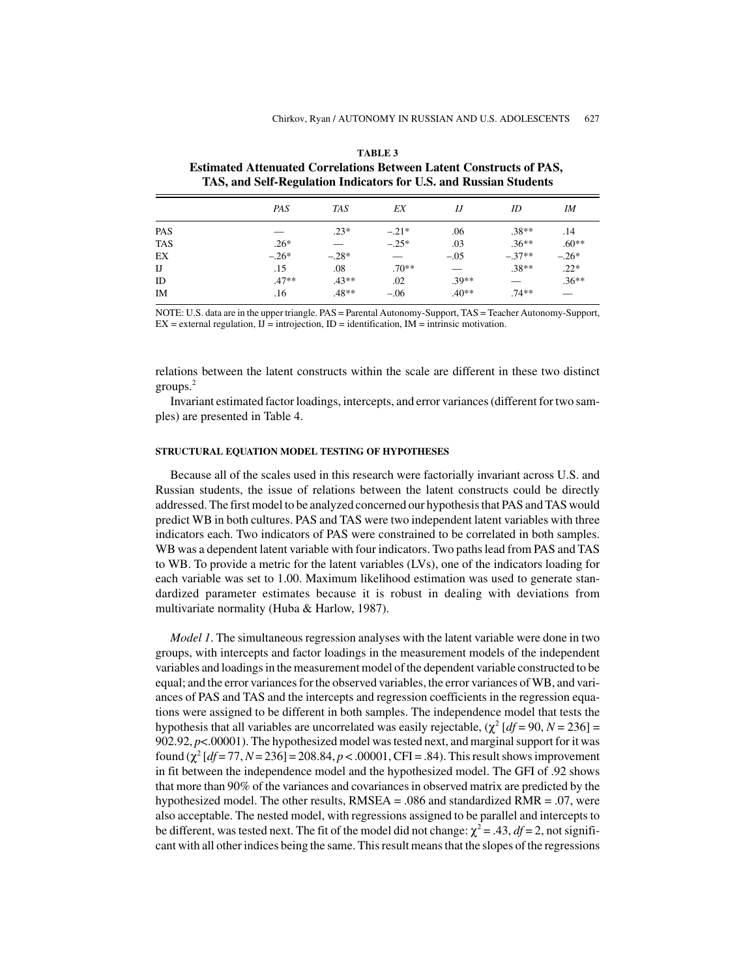|            | PAS     | <b>TAS</b> | EX      | IJ      | ID       | IΜ      |
|------------|---------|------------|---------|---------|----------|---------|
| <b>PAS</b> |         | $.23*$     | $-.21*$ | .06     | $.38**$  | .14     |
| <b>TAS</b> | $.26*$  |            | $-.25*$ | .03     | $.36**$  | $.60**$ |
| EX         | $-.26*$ | $-.28*$    |         | $-.05$  | $-.37**$ | $-.26*$ |
| $_{\rm I}$ | .15     | .08        | $.70**$ |         | $.38**$  | $.22*$  |
| ID         | $.47**$ | $.43**$    | .02     | $.39**$ |          | $.36**$ |
| IM         | .16     | $.48**$    | $-.06$  | $.40**$ | $.74**$  |         |
|            |         |            |         |         |          |         |

**TABLE 3 Estimated Attenuated Correlations Between Latent Constructs of PAS, TAS, and Self-Regulation Indicators for U.S. and Russian Students**

NOTE: U.S. data are in the upper triangle. PAS = Parental Autonomy-Support, TAS = Teacher Autonomy-Support,  $EX =$  external regulation,  $IJ =$  introjection,  $ID =$  identification,  $IM =$  intrinsic motivation.

relations between the latent constructs within the scale are different in these two distinct groups. $<sup>2</sup>$ </sup>

Invariant estimated factor loadings, intercepts, and error variances (different for two samples) are presented in Table 4.

#### **STRUCTURAL EQUATION MODEL TESTING OF HYPOTHESES**

Because all of the scales used in this research were factorially invariant across U.S. and Russian students, the issue of relations between the latent constructs could be directly addressed. The first model to be analyzed concerned our hypothesis that PAS and TAS would predict WB in both cultures. PAS and TAS were two independent latent variables with three indicators each. Two indicators of PAS were constrained to be correlated in both samples. WB was a dependent latent variable with four indicators. Two paths lead from PAS and TAS to WB. To provide a metric for the latent variables (LVs), one of the indicators loading for each variable was set to 1.00. Maximum likelihood estimation was used to generate standardized parameter estimates because it is robust in dealing with deviations from multivariate normality (Huba & Harlow, 1987).

*Model 1*. The simultaneous regression analyses with the latent variable were done in two groups, with intercepts and factor loadings in the measurement models of the independent variables and loadings in the measurement model of the dependent variable constructed to be equal; and the error variances for the observed variables, the error variances of WB, and variances of PAS and TAS and the intercepts and regression coefficients in the regression equations were assigned to be different in both samples. The independence model that tests the hypothesis that all variables are uncorrelated was easily rejectable,  $(\chi^2 \left[ df = 90, N = 236 \right] =$ 902.92, *p*<.00001). The hypothesized model was tested next, and marginal support for it was found  $(\chi^2 [df = 77, N = 236] = 208.84, p < .00001, CFI = .84)$ . This result shows improvement in fit between the independence model and the hypothesized model. The GFI of .92 shows that more than 90% of the variances and covariances in observed matrix are predicted by the hypothesized model. The other results, RMSEA = .086 and standardized RMR = .07, were also acceptable. The nested model, with regressions assigned to be parallel and intercepts to be different, was tested next. The fit of the model did not change:  $\chi^2 = .43$ ,  $df = 2$ , not significant with all other indices being the same. This result means that the slopes of the regressions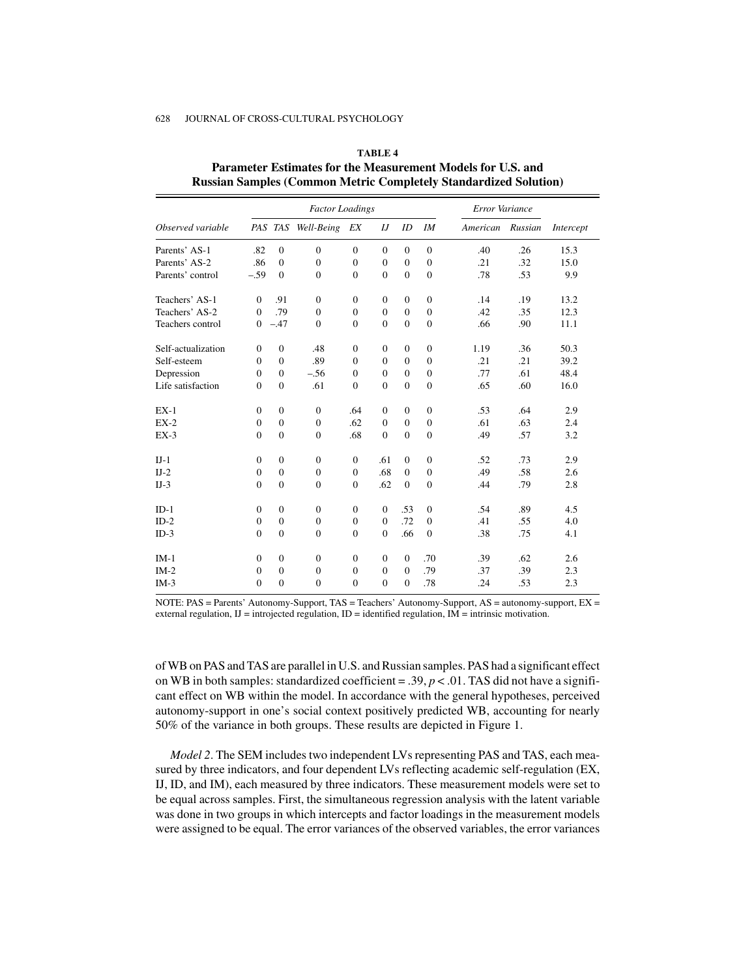|                    |                | <b>Factor Loadings</b> |                    |                |                  |                  |                  |          | Error Variance |           |  |
|--------------------|----------------|------------------------|--------------------|----------------|------------------|------------------|------------------|----------|----------------|-----------|--|
| Observed variable  |                |                        | PAS TAS Well-Being | EΧ             | $_{IJ}$          | ID               | IM               | American | Russian        | Intercept |  |
| Parents' AS-1      | .82            | $\theta$               | $\overline{0}$     | $\overline{0}$ | $\overline{0}$   | $\overline{0}$   | $\overline{0}$   | .40      | .26            | 15.3      |  |
| Parents' AS-2      | .86            | $\Omega$               | $\overline{0}$     | $\theta$       | $\overline{0}$   | $\overline{0}$   | $\overline{0}$   | .21      | .32            | 15.0      |  |
| Parents' control   | $-.59$         | $\theta$               | $\theta$           | $\Omega$       | $\theta$         | $\theta$         | $\overline{0}$   | .78      | .53            | 9.9       |  |
| Teachers' AS-1     | $\mathbf{0}$   | .91                    | $\overline{0}$     | $\overline{0}$ | $\overline{0}$   | $\mathbf{0}$     | $\overline{0}$   | .14      | .19            | 13.2      |  |
| Teachers' AS-2     | $\theta$       | .79                    | $\overline{0}$     | $\overline{0}$ | $\overline{0}$   | $\overline{0}$   | $\overline{0}$   | .42      | .35            | 12.3      |  |
| Teachers control   | $\overline{0}$ | $-.47$                 | $\overline{0}$     | $\theta$       | $\overline{0}$   | $\overline{0}$   | $\boldsymbol{0}$ | .66      | .90            | 11.1      |  |
| Self-actualization | $\overline{0}$ | $\boldsymbol{0}$       | .48                | $\overline{0}$ | $\boldsymbol{0}$ | $\boldsymbol{0}$ | $\overline{0}$   | 1.19     | .36            | 50.3      |  |
| Self-esteem        | $\Omega$       | $\Omega$               | .89                | $\overline{0}$ | $\overline{0}$   | $\theta$         | $\overline{0}$   | .21      | .21            | 39.2      |  |
| Depression         | $\Omega$       | $\Omega$               | $-.56$             | $\Omega$       | $\Omega$         | $\Omega$         | $\Omega$         | .77      | .61            | 48.4      |  |
| Life satisfaction  | $\Omega$       | $\overline{0}$         | .61                | $\overline{0}$ | $\overline{0}$   | $\overline{0}$   | $\overline{0}$   | .65      | .60            | 16.0      |  |
| $EX-1$             | $\Omega$       | $\Omega$               | $\overline{0}$     | .64            | $\overline{0}$   | $\overline{0}$   | $\overline{0}$   | .53      | .64            | 2.9       |  |
| $EX-2$             | $\overline{0}$ | $\overline{0}$         | $\overline{0}$     | .62            | $\overline{0}$   | $\overline{0}$   | $\overline{0}$   | .61      | .63            | 2.4       |  |
| $EX-3$             | $\Omega$       | $\overline{0}$         | $\overline{0}$     | .68            | $\overline{0}$   | $\overline{0}$   | $\overline{0}$   | .49      | .57            | 3.2       |  |
| $IJ-1$             | $\overline{0}$ | $\overline{0}$         | $\overline{0}$     | $\overline{0}$ | .61              | $\overline{0}$   | $\overline{0}$   | .52      | .73            | 2.9       |  |
| $IJ-2$             | $\Omega$       | $\Omega$               | $\overline{0}$     | $\Omega$       | .68              | $\Omega$         | $\overline{0}$   | .49      | .58            | 2.6       |  |
| $II-3$             | $\theta$       | $\overline{0}$         | $\overline{0}$     | $\overline{0}$ | .62              | $\overline{0}$   | $\boldsymbol{0}$ | .44      | .79            | 2.8       |  |
| $ID-1$             | $\overline{0}$ | $\Omega$               | $\overline{0}$     | $\overline{0}$ | $\mathbf{0}$     | .53              | $\overline{0}$   | .54      | .89            | 4.5       |  |
| $ID-2$             | $\Omega$       | $\Omega$               | $\Omega$           | $\overline{0}$ | $\Omega$         | .72              | $\theta$         | .41      | .55            | 4.0       |  |
| $ID-3$             | $\Omega$       | $\Omega$               | $\overline{0}$     | $\overline{0}$ | $\Omega$         | .66              | $\overline{0}$   | .38      | .75            | 4.1       |  |
| $IM-1$             | $\overline{0}$ | $\overline{0}$         | $\overline{0}$     | $\overline{0}$ | $\theta$         | $\mathbf{0}$     | .70              | .39      | .62            | 2.6       |  |
| $IM-2$             | $\overline{0}$ | $\overline{0}$         | $\overline{0}$     | $\overline{0}$ | $\theta$         | $\theta$         | .79              | .37      | .39            | 2.3       |  |
| $IM-3$             | $\Omega$       | $\theta$               | $\theta$           | $\theta$       | $\theta$         | $\theta$         | .78              | .24      | .53            | 2.3       |  |

# **TABLE 4 Parameter Estimates for the Measurement Models for U.S. and Russian Samples (Common Metric Completely Standardized Solution)**

NOTE: PAS = Parents' Autonomy-Support, TAS = Teachers' Autonomy-Support, AS = autonomy-support, EX = external regulation,  $IJ =$  introjected regulation,  $ID =$  identified regulation,  $IM =$  intrinsic motivation.

of WB on PAS and TAS are parallel in U.S. and Russian samples. PAS had a significant effect on WB in both samples: standardized coefficient  $= .39, p < .01$ . TAS did not have a significant effect on WB within the model. In accordance with the general hypotheses, perceived autonomy-support in one's social context positively predicted WB, accounting for nearly 50% of the variance in both groups. These results are depicted in Figure 1.

*Model 2*. The SEM includes two independent LVs representing PAS and TAS, each measured by three indicators, and four dependent LVs reflecting academic self-regulation (EX, IJ, ID, and IM), each measured by three indicators. These measurement models were set to be equal across samples. First, the simultaneous regression analysis with the latent variable was done in two groups in which intercepts and factor loadings in the measurement models were assigned to be equal. The error variances of the observed variables, the error variances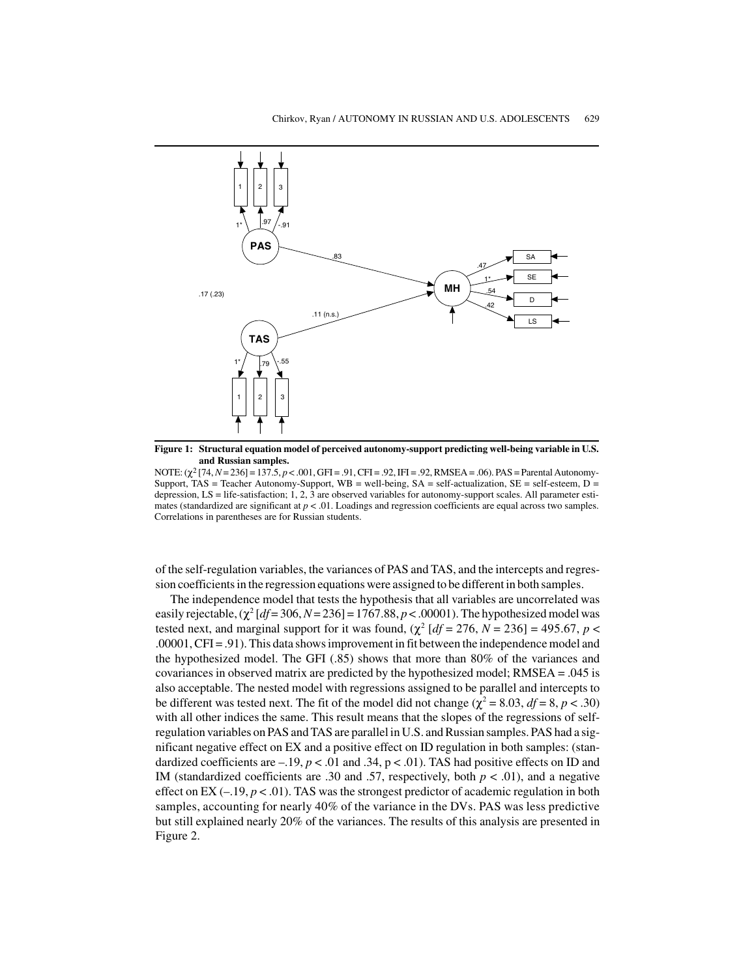

**Figure 1: Structural equation model of perceived autonomy-support predicting well-being variable in U.S. and Russian samples.**

NOTE: (χ2 [74,*N*= 236] = 137.5, *p* < .001, GFI = .91, CFI = .92, IFI = .92, RMSEA = .06). PAS = Parental Autonomy-Support, TAS = Teacher Autonomy-Support,  $WB =$  well-being,  $SA =$  self-actualization,  $SE =$  self-esteem,  $D =$ depression, LS = life-satisfaction; 1, 2, 3 are observed variables for autonomy-support scales. All parameter estimates (standardized are significant at *p* < .01. Loadings and regression coefficients are equal across two samples. Correlations in parentheses are for Russian students.

of the self-regulation variables, the variances of PAS and TAS, and the intercepts and regression coefficients in the regression equations were assigned to be different in both samples.

The independence model that tests the hypothesis that all variables are uncorrelated was easily rejectable,  $(\chi^2 [df = 306, N = 236] = 1767.88, p < .00001)$ . The hypothesized model was tested next, and marginal support for it was found,  $(\chi^2 \left[ df = 276, N = 236 \right] = 495.67, p <$ .00001, CFI = .91). This data shows improvement in fit between the independence model and the hypothesized model. The GFI (.85) shows that more than 80% of the variances and covariances in observed matrix are predicted by the hypothesized model; RMSEA = .045 is also acceptable. The nested model with regressions assigned to be parallel and intercepts to be different was tested next. The fit of the model did not change ( $\chi^2 = 8.03$ ,  $df = 8$ ,  $p < .30$ ) with all other indices the same. This result means that the slopes of the regressions of selfregulation variables on PAS and TAS are parallel in U.S. and Russian samples. PAS had a significant negative effect on EX and a positive effect on ID regulation in both samples: (standardized coefficients are  $-.19$ ,  $p < .01$  and  $.34$ ,  $p < .01$ ). TAS had positive effects on ID and IM (standardized coefficients are .30 and .57, respectively, both  $p < .01$ ), and a negative effect on EX  $(-.19, p < .01)$ . TAS was the strongest predictor of academic regulation in both samples, accounting for nearly 40% of the variance in the DVs. PAS was less predictive but still explained nearly 20% of the variances. The results of this analysis are presented in Figure 2.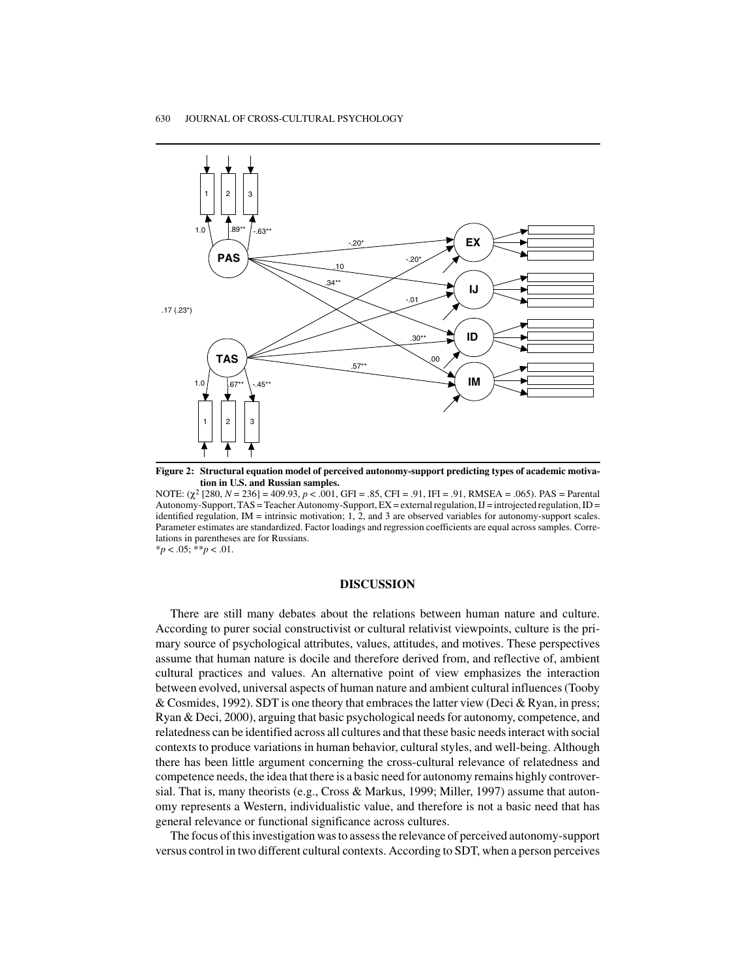

**Figure 2: Structural equation model of perceived autonomy-support predicting types of academic motivation in U.S. and Russian samples.**

NOTE: (χ2 [280, *N* = 236] = 409.93, *p* < .001, GFI = .85, CFI = .91, IFI = .91, RMSEA = .065). PAS = Parental Autonomy-Support, TAS = Teacher Autonomy-Support, EX = external regulation, IJ = introjected regulation, ID = identified regulation, IM = intrinsic motivation; 1, 2, and 3 are observed variables for autonomy-support scales. Parameter estimates are standardized. Factor loadings and regression coefficients are equal across samples. Correlations in parentheses are for Russians.

\**p* < .05; \*\**p* < .01.

### **DISCUSSION**

There are still many debates about the relations between human nature and culture. According to purer social constructivist or cultural relativist viewpoints, culture is the primary source of psychological attributes, values, attitudes, and motives. These perspectives assume that human nature is docile and therefore derived from, and reflective of, ambient cultural practices and values. An alternative point of view emphasizes the interaction between evolved, universal aspects of human nature and ambient cultural influences (Tooby & Cosmides, 1992). SDT is one theory that embraces the latter view (Deci & Ryan, in press; Ryan & Deci, 2000), arguing that basic psychological needs for autonomy, competence, and relatedness can be identified across all cultures and that these basic needs interact with social contexts to produce variations in human behavior, cultural styles, and well-being. Although there has been little argument concerning the cross-cultural relevance of relatedness and competence needs, the idea that there is a basic need for autonomy remains highly controversial. That is, many theorists (e.g., Cross & Markus, 1999; Miller, 1997) assume that autonomy represents a Western, individualistic value, and therefore is not a basic need that has general relevance or functional significance across cultures.

The focus of this investigation was to assess the relevance of perceived autonomy-support versus control in two different cultural contexts. According to SDT, when a person perceives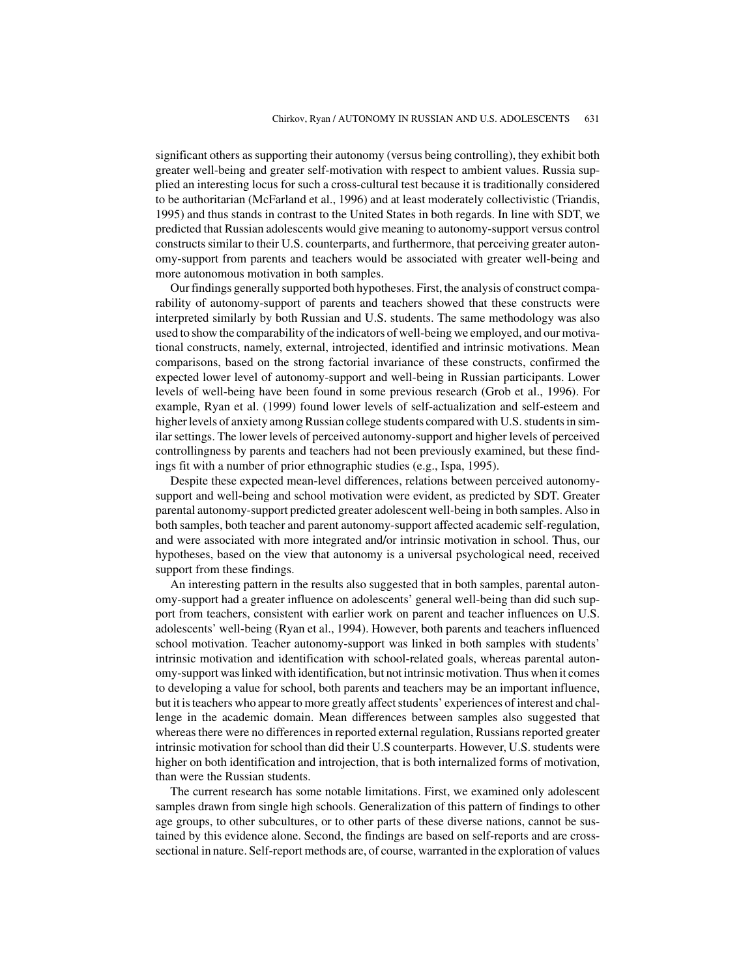significant others as supporting their autonomy (versus being controlling), they exhibit both greater well-being and greater self-motivation with respect to ambient values. Russia supplied an interesting locus for such a cross-cultural test because it is traditionally considered to be authoritarian (McFarland et al., 1996) and at least moderately collectivistic (Triandis, 1995) and thus stands in contrast to the United States in both regards. In line with SDT, we predicted that Russian adolescents would give meaning to autonomy-support versus control constructs similar to their U.S. counterparts, and furthermore, that perceiving greater autonomy-support from parents and teachers would be associated with greater well-being and more autonomous motivation in both samples.

Our findings generally supported both hypotheses. First, the analysis of construct comparability of autonomy-support of parents and teachers showed that these constructs were interpreted similarly by both Russian and U.S. students. The same methodology was also used to show the comparability of the indicators of well-being we employed, and our motivational constructs, namely, external, introjected, identified and intrinsic motivations. Mean comparisons, based on the strong factorial invariance of these constructs, confirmed the expected lower level of autonomy-support and well-being in Russian participants. Lower levels of well-being have been found in some previous research (Grob et al., 1996). For example, Ryan et al. (1999) found lower levels of self-actualization and self-esteem and higher levels of anxiety among Russian college students compared with U.S. students in similar settings. The lower levels of perceived autonomy-support and higher levels of perceived controllingness by parents and teachers had not been previously examined, but these findings fit with a number of prior ethnographic studies (e.g., Ispa, 1995).

Despite these expected mean-level differences, relations between perceived autonomysupport and well-being and school motivation were evident, as predicted by SDT. Greater parental autonomy-support predicted greater adolescent well-being in both samples. Also in both samples, both teacher and parent autonomy-support affected academic self-regulation, and were associated with more integrated and/or intrinsic motivation in school. Thus, our hypotheses, based on the view that autonomy is a universal psychological need, received support from these findings.

An interesting pattern in the results also suggested that in both samples, parental autonomy-support had a greater influence on adolescents' general well-being than did such support from teachers, consistent with earlier work on parent and teacher influences on U.S. adolescents' well-being (Ryan et al., 1994). However, both parents and teachers influenced school motivation. Teacher autonomy-support was linked in both samples with students' intrinsic motivation and identification with school-related goals, whereas parental autonomy-support was linked with identification, but not intrinsic motivation. Thus when it comes to developing a value for school, both parents and teachers may be an important influence, but it is teachers who appear to more greatly affect students' experiences of interest and challenge in the academic domain. Mean differences between samples also suggested that whereas there were no differences in reported external regulation, Russians reported greater intrinsic motivation for school than did their U.S counterparts. However, U.S. students were higher on both identification and introjection, that is both internalized forms of motivation, than were the Russian students.

The current research has some notable limitations. First, we examined only adolescent samples drawn from single high schools. Generalization of this pattern of findings to other age groups, to other subcultures, or to other parts of these diverse nations, cannot be sustained by this evidence alone. Second, the findings are based on self-reports and are crosssectional in nature. Self-report methods are, of course, warranted in the exploration of values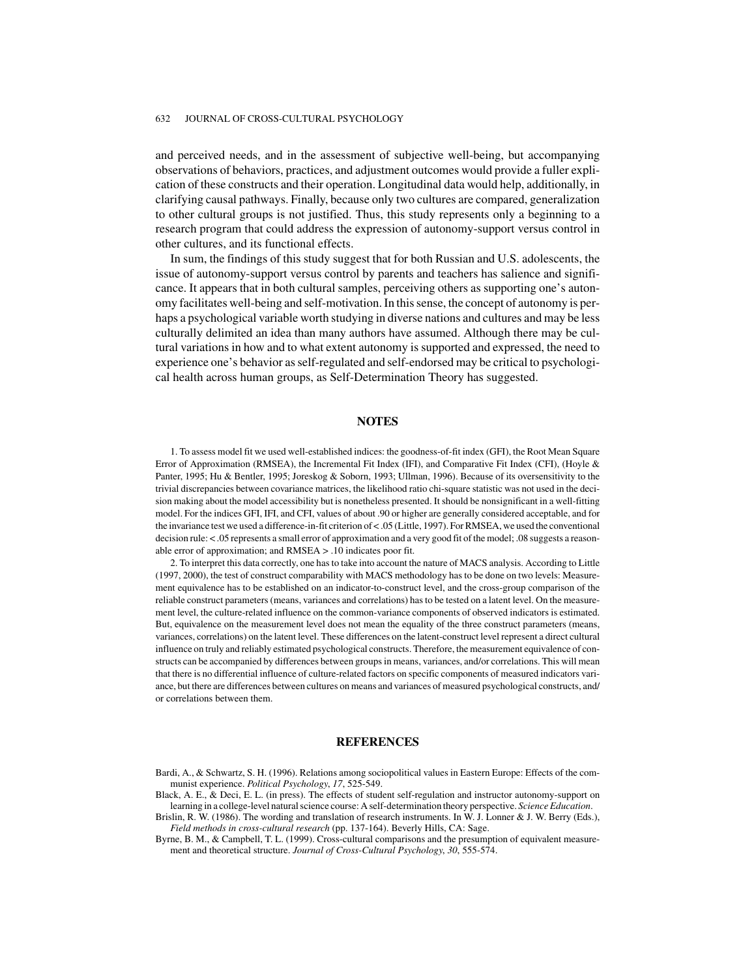and perceived needs, and in the assessment of subjective well-being, but accompanying observations of behaviors, practices, and adjustment outcomes would provide a fuller explication of these constructs and their operation. Longitudinal data would help, additionally, in clarifying causal pathways. Finally, because only two cultures are compared, generalization to other cultural groups is not justified. Thus, this study represents only a beginning to a research program that could address the expression of autonomy-support versus control in other cultures, and its functional effects.

In sum, the findings of this study suggest that for both Russian and U.S. adolescents, the issue of autonomy-support versus control by parents and teachers has salience and significance. It appears that in both cultural samples, perceiving others as supporting one's autonomy facilitates well-being and self-motivation. In this sense, the concept of autonomy is perhaps a psychological variable worth studying in diverse nations and cultures and may be less culturally delimited an idea than many authors have assumed. Although there may be cultural variations in how and to what extent autonomy is supported and expressed, the need to experience one's behavior as self-regulated and self-endorsed may be critical to psychological health across human groups, as Self-Determination Theory has suggested.

### **NOTES**

1. To assess model fit we used well-established indices: the goodness-of-fit index (GFI), the Root Mean Square Error of Approximation (RMSEA), the Incremental Fit Index (IFI), and Comparative Fit Index (CFI), (Hoyle & Panter, 1995; Hu & Bentler, 1995; Joreskog & Soborn, 1993; Ullman, 1996). Because of its oversensitivity to the trivial discrepancies between covariance matrices, the likelihood ratio chi-square statistic was not used in the decision making about the model accessibility but is nonetheless presented. It should be nonsignificant in a well-fitting model. For the indices GFI, IFI, and CFI, values of about .90 or higher are generally considered acceptable, and for the invariance test we used a difference-in-fit criterion of < .05 (Little, 1997). For RMSEA, we used the conventional decision rule: < .05 represents a small error of approximation and a very good fit of the model; .08 suggests a reasonable error of approximation; and RMSEA > .10 indicates poor fit.

2. To interpret this data correctly, one has to take into account the nature of MACS analysis. According to Little (1997, 2000), the test of construct comparability with MACS methodology has to be done on two levels: Measurement equivalence has to be established on an indicator-to-construct level, and the cross-group comparison of the reliable construct parameters (means, variances and correlations) has to be tested on a latent level. On the measurement level, the culture-related influence on the common-variance components of observed indicators is estimated. But, equivalence on the measurement level does not mean the equality of the three construct parameters (means, variances, correlations) on the latent level. These differences on the latent-construct level represent a direct cultural influence on truly and reliably estimated psychological constructs. Therefore, the measurement equivalence of constructs can be accompanied by differences between groups in means, variances, and/or correlations. This will mean that there is no differential influence of culture-related factors on specific components of measured indicators variance, but there are differences between cultures on means and variances of measured psychological constructs, and/ or correlations between them.

### **REFERENCES**

Bardi, A., & Schwartz, S. H. (1996). Relations among sociopolitical values in Eastern Europe: Effects of the communist experience. *Political Psychology*, *17*, 525-549.

Black, A. E., & Deci, E. L. (in press). The effects of student self-regulation and instructor autonomy-support on learning in a college-level natural science course: A self-determination theory perspective. *Science Education*.

Brislin, R. W. (1986). The wording and translation of research instruments. In W. J. Lonner & J. W. Berry (Eds.), *Field methods in cross-cultural research* (pp. 137-164). Beverly Hills, CA: Sage.

Byrne, B. M., & Campbell, T. L. (1999). Cross-cultural comparisons and the presumption of equivalent measurement and theoretical structure. *Journal of Cross-Cultural Psychology*, *30*, 555-574.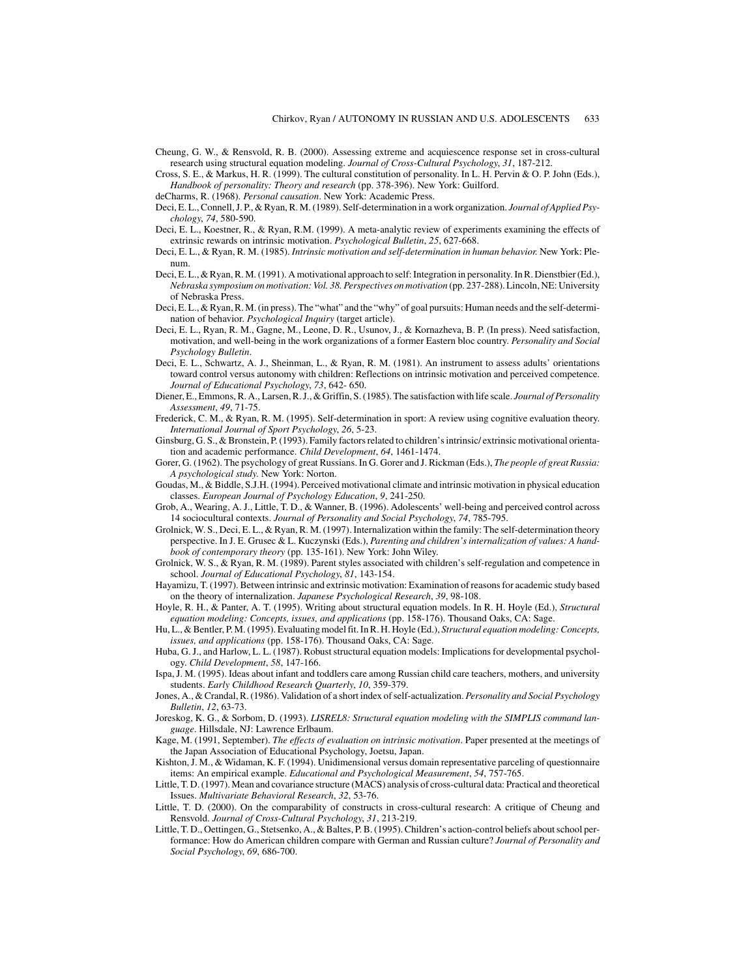- Cheung, G. W., & Rensvold, R. B. (2000). Assessing extreme and acquiescence response set in cross-cultural research using structural equation modeling. *Journal of Cross-Cultural Psychology*, *31*, 187-212.
- Cross, S. E., & Markus, H. R. (1999). The cultural constitution of personality. In L. H. Pervin & O. P. John (Eds.), *Handbook of personality: Theory and research* (pp. 378-396). New York: Guilford.
- deCharms, R. (1968). *Personal causation*. New York: Academic Press.
- Deci, E. L., Connell, J. P., & Ryan, R. M. (1989). Self-determination in a work organization. *Journal of Applied Psychology*, *74*, 580-590.
- Deci, E. L., Koestner, R., & Ryan, R.M. (1999). A meta-analytic review of experiments examining the effects of extrinsic rewards on intrinsic motivation. *Psychological Bulletin*, *25*, 627-668.
- Deci, E. L., & Ryan, R. M. (1985). *Intrinsic motivation and self-determination in human behavior.* New York: Plenum.
- Deci, E. L., & Ryan, R. M. (1991). A motivational approach to self: Integration in personality. In R. Dienstbier (Ed.), *Nebraska symposium on motivation: Vol. 38. Perspectives on motivation* (pp. 237-288). Lincoln, NE: University of Nebraska Press.
- Deci, E. L., & Ryan, R. M. (in press). The "what" and the "why" of goal pursuits: Human needs and the self-determination of behavior. *Psychological Inquiry* (target article).
- Deci, E. L., Ryan, R. M., Gagne, M., Leone, D. R., Usunov, J., & Kornazheva, B. P. (In press). Need satisfaction, motivation, and well-being in the work organizations of a former Eastern bloc country. *Personality and Social Psychology Bulletin*.
- Deci, E. L., Schwartz, A. J., Sheinman, L., & Ryan, R. M. (1981). An instrument to assess adults' orientations toward control versus autonomy with children: Reflections on intrinsic motivation and perceived competence. *Journal of Educational Psychology*, *73*, 642- 650.
- Diener, E., Emmons, R. A., Larsen, R. J., & Griffin, S. (1985). The satisfaction with life scale. *Journal of Personality Assessment*, *49*, 71-75.
- Frederick, C. M., & Ryan, R. M. (1995). Self-determination in sport: A review using cognitive evaluation theory. *International Journal of Sport Psychology*, *26*, 5-23.
- Ginsburg, G. S., & Bronstein, P. (1993). Family factors related to children's intrinsic/ extrinsic motivational orientation and academic performance. *Child Development*, *64*, 1461-1474.
- Gorer, G. (1962). The psychology of great Russians. In G. Gorer and J. Rickman (Eds.), *The people of great Russia: A psychological study*. New York: Norton.
- Goudas, M., & Biddle, S.J.H. (1994). Perceived motivational climate and intrinsic motivation in physical education classes. *European Journal of Psychology Education*, *9*, 241-250.
- Grob, A., Wearing, A. J., Little, T. D., & Wanner, B. (1996). Adolescents' well-being and perceived control across 14 sociocultural contexts. *Journal of Personality and Social Psychology*, *74*, 785-795.
- Grolnick, W. S., Deci, E. L., & Ryan, R. M. (1997). Internalization within the family: The self-determination theory perspective. In J. E. Grusec & L. Kuczynski (Eds.), *Parenting and children's internalization of values: A handbook of contemporary theory* (pp. 135-161). New York: John Wiley.
- Grolnick, W. S., & Ryan, R. M. (1989). Parent styles associated with children's self-regulation and competence in school. *Journal of Educational Psychology*, *81*, 143-154.
- Hayamizu, T. (1997). Between intrinsic and extrinsic motivation: Examination of reasons for academic study based on the theory of internalization. *Japanese Psychological Research*, *39*, 98-108.
- Hoyle, R. H., & Panter, A. T. (1995). Writing about structural equation models. In R. H. Hoyle (Ed.), *Structural equation modeling: Concepts, issues, and applications* (pp. 158-176). Thousand Oaks, CA: Sage.
- Hu, L., & Bentler, P. M. (1995). Evaluating model fit. In R. H. Hoyle (Ed.), *Structural equation modeling: Concepts, issues, and applications* (pp. 158-176). Thousand Oaks, CA: Sage.
- Huba, G. J., and Harlow, L. L. (1987). Robust structural equation models: Implications for developmental psychology. *Child Development*, *58*, 147-166.
- Ispa, J. M. (1995). Ideas about infant and toddlers care among Russian child care teachers, mothers, and university students. *Early Childhood Research Quarterly*, *10*, 359-379.
- Jones, A., & Crandal, R. (1986). Validation of a short index of self-actualization. *Personality and Social Psychology Bulletin*, *12*, 63-73.
- Joreskog, K. G., & Sorbom, D. (1993). *LISREL8: Structural equation modeling with the SIMPLIS command language*. Hillsdale, NJ: Lawrence Erlbaum.
- Kage, M. (1991, September). *The effects of evaluation on intrinsic motivation*. Paper presented at the meetings of the Japan Association of Educational Psychology, Joetsu, Japan.
- Kishton, J. M., & Widaman, K. F. (1994). Unidimensional versus domain representative parceling of questionnaire items: An empirical example. *Educational and Psychological Measurement*, *54*, 757-765.
- Little, T. D. (1997). Mean and covariance structure (MACS) analysis of cross-cultural data: Practical and theoretical Issues. *Multivariate Behavioral Research*, *32*, 53-76.
- Little, T. D. (2000). On the comparability of constructs in cross-cultural research: A critique of Cheung and Rensvold. *Journal of Cross-Cultural Psychology*, *31*, 213-219.
- Little, T. D., Oettingen, G., Stetsenko, A., & Baltes, P. B. (1995). Children's action-control beliefs about school performance: How do American children compare with German and Russian culture? *Journal of Personality and Social Psychology*, *69*, 686-700.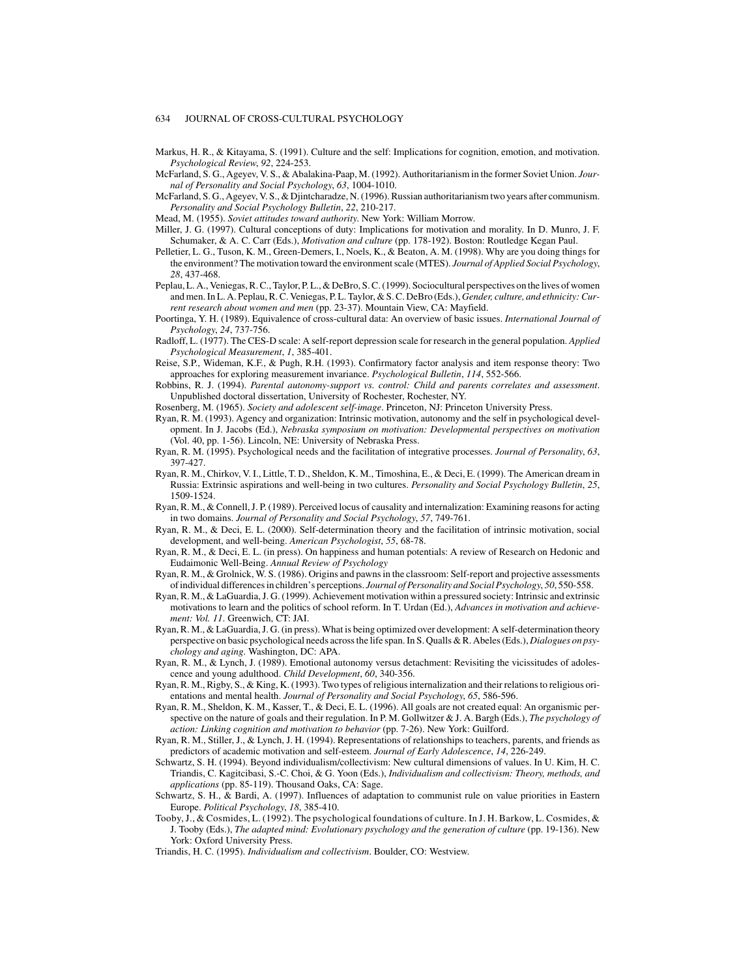- Markus, H. R., & Kitayama, S. (1991). Culture and the self: Implications for cognition, emotion, and motivation. *Psychological Review*, *92*, 224-253.
- McFarland, S. G., Ageyev, V. S., & Abalakina-Paap, M. (1992). Authoritarianism in the former Soviet Union. *Journal of Personality and Social Psychology*, *63*, 1004-1010.
- McFarland, S. G., Ageyev, V. S., & Djintcharadze, N. (1996). Russian authoritarianism two years after communism. *Personality and Social Psychology Bulletin*, *22*, 210-217.

Mead, M. (1955). *Soviet attitudes toward authority*. New York: William Morrow.

- Miller, J. G. (1997). Cultural conceptions of duty: Implications for motivation and morality. In D. Munro, J. F. Schumaker, & A. C. Carr (Eds.), *Motivation and culture* (pp. 178-192). Boston: Routledge Kegan Paul.
- Pelletier, L. G., Tuson, K. M., Green-Demers, I., Noels, K., & Beaton, A. M. (1998). Why are you doing things for the environment? The motivation toward the environment scale (MTES). *Journal of Applied Social Psychology*, *28*, 437-468.
- Peplau, L. A., Veniegas, R. C., Taylor, P. L., & DeBro, S. C. (1999). Sociocultural perspectives on the lives of women and men. In L. A. Peplau, R. C. Veniegas, P. L. Taylor, & S. C. DeBro (Eds.), *Gender, culture, and ethnicity: Current research about women and men* (pp. 23-37). Mountain View, CA: Mayfield.
- Poortinga, Y. H. (1989). Equivalence of cross-cultural data: An overview of basic issues. *International Journal of Psychology*, *24*, 737-756.
- Radloff, L. (1977). The CES-D scale: A self-report depression scale for research in the general population. *Applied Psychological Measurement*, *1*, 385-401.
- Reise, S.P., Wideman, K.F., & Pugh, R.H. (1993). Confirmatory factor analysis and item response theory: Two approaches for exploring measurement invariance. *Psychological Bulletin*, *114*, 552-566.
- Robbins, R. J. (1994). *Parental autonomy-support vs. control: Child and parents correlates and assessment*. Unpublished doctoral dissertation, University of Rochester, Rochester, NY.
- Rosenberg, M. (1965). *Society and adolescent self-image*. Princeton, NJ: Princeton University Press.
- Ryan, R. M. (1993). Agency and organization: Intrinsic motivation, autonomy and the self in psychological development. In J. Jacobs (Ed.), *Nebraska symposium on motivation: Developmental perspectives on motivation* (Vol. 40, pp. 1-56). Lincoln, NE: University of Nebraska Press.
- Ryan, R. M. (1995). Psychological needs and the facilitation of integrative processes. *Journal of Personality*, *63*, 397-427.
- Ryan, R. M., Chirkov, V. I., Little, T. D., Sheldon, K. M., Timoshina, E., & Deci, E. (1999). The American dream in Russia: Extrinsic aspirations and well-being in two cultures. *Personality and Social Psychology Bulletin*, *25*, 1509-1524.
- Ryan, R. M., & Connell, J. P. (1989). Perceived locus of causality and internalization: Examining reasons for acting in two domains. *Journal of Personality and Social Psychology*, *57*, 749-761.
- Ryan, R. M., & Deci, E. L. (2000). Self-determination theory and the facilitation of intrinsic motivation, social development, and well-being. *American Psychologist*, *55*, 68-78.
- Ryan, R. M., & Deci, E. L. (in press). On happiness and human potentials: A review of Research on Hedonic and Eudaimonic Well-Being. *Annual Review of Psychology*
- Ryan, R. M., & Grolnick, W. S. (1986). Origins and pawns in the classroom: Self-report and projective assessments of individual differences in children's perceptions. *Journal of Personality and Social Psychology*, *50*, 550-558.
- Ryan, R. M., & LaGuardia, J. G. (1999). Achievement motivation within a pressured society: Intrinsic and extrinsic motivations to learn and the politics of school reform. In T. Urdan (Ed.), *Advances in motivation and achievement: Vol. 11*. Greenwich, CT: JAI.
- Ryan, R. M., & LaGuardia, J. G. (in press). What is being optimized over development: A self-determination theory perspective on basic psychological needs across the life span. In S. Qualls & R. Abeles (Eds.), *Dialogues on psychology and aging*. Washington, DC: APA.
- Ryan, R. M., & Lynch, J. (1989). Emotional autonomy versus detachment: Revisiting the vicissitudes of adolescence and young adulthood. *Child Development*, *60*, 340-356.
- Ryan, R. M., Rigby, S., & King, K. (1993). Two types of religious internalization and their relations to religious orientations and mental health. *Journal of Personality and Social Psychology*, *65*, 586-596.
- Ryan, R. M., Sheldon, K. M., Kasser, T., & Deci, E. L. (1996). All goals are not created equal: An organismic perspective on the nature of goals and their regulation. In P. M. Gollwitzer & J. A. Bargh (Eds.), *The psychology of action: Linking cognition and motivation to behavior* (pp. 7-26). New York: Guilford.
- Ryan, R. M., Stiller, J., & Lynch, J. H. (1994). Representations of relationships to teachers, parents, and friends as predictors of academic motivation and self-esteem. *Journal of Early Adolescence*, *14*, 226-249.
- Schwartz, S. H. (1994). Beyond individualism/collectivism: New cultural dimensions of values. In U. Kim, H. C. Triandis, C. Kagitcibasi, S.-C. Choi, & G. Yoon (Eds.), *Individualism and collectivism: Theory, methods, and applications* (pp. 85-119). Thousand Oaks, CA: Sage.
- Schwartz, S. H., & Bardi, A. (1997). Influences of adaptation to communist rule on value priorities in Eastern Europe. *Political Psychology*, *18*, 385-410.
- Tooby, J., & Cosmides, L. (1992). The psychological foundations of culture. In J. H. Barkow, L. Cosmides, & J. Tooby (Eds.), *The adapted mind: Evolutionary psychology and the generation of culture* (pp. 19-136). New York: Oxford University Press.
- Triandis, H. C. (1995). *Individualism and collectivism*. Boulder, CO: Westview.